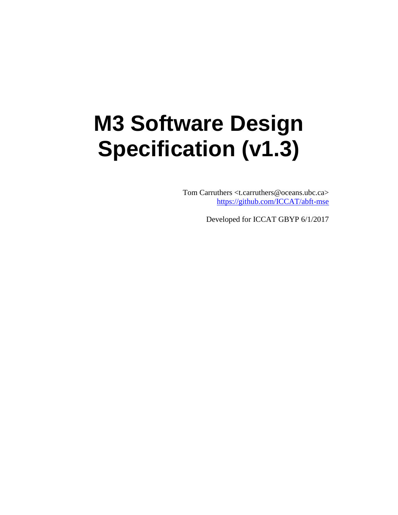# **M3 Software Design Specification (v1.3)**

Tom Carruthers <t.carruthers@oceans.ubc.ca> <https://github.com/ICCAT/abft-mse>

Developed for ICCAT GBYP 6/1/2017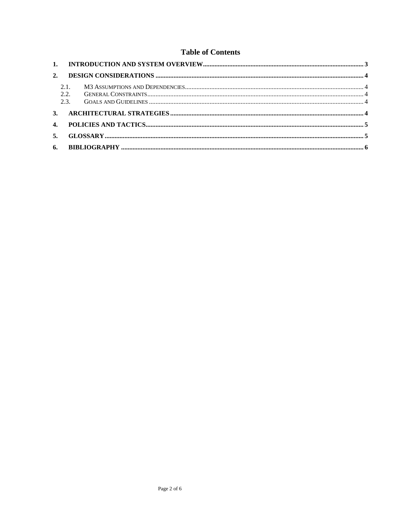#### **Table of Contents**

| 2. |      |  |
|----|------|--|
|    | 2.1. |  |
|    | 2.2. |  |
|    | 2.3. |  |
|    |      |  |
|    |      |  |
|    | 5.   |  |
|    |      |  |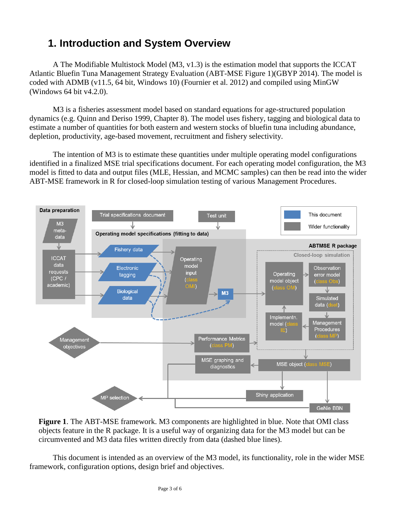## <span id="page-2-0"></span>**1. Introduction and System Overview**

A The Modifiable Multistock Model (M3, v1.3) is the estimation model that supports the ICCAT Atlantic Bluefin Tuna Management Strategy Evaluation (ABT-MSE Figure 1)(GBYP 2014). The model is coded with ADMB (v11.5, 64 bit, Windows 10) (Fournier et al. 2012) and compiled using MinGW (Windows 64 bit v4.2.0).

M3 is a fisheries assessment model based on standard equations for age-structured population dynamics (e.g. Quinn and Deriso 1999, Chapter 8). The model uses fishery, tagging and biological data to estimate a number of quantities for both eastern and western stocks of bluefin tuna including abundance, depletion, productivity, age-based movement, recruitment and fishery selectivity.

The intention of M3 is to estimate these quantities under multiple operating model configurations identified in a finalized MSE trial specifications document. For each operating model configuration, the M3 model is fitted to data and output files (MLE, Hessian, and MCMC samples) can then be read into the wider ABT-MSE framework in R for closed-loop simulation testing of various Management Procedures.





This document is intended as an overview of the M3 model, its functionality, role in the wider MSE framework, configuration options, design brief and objectives.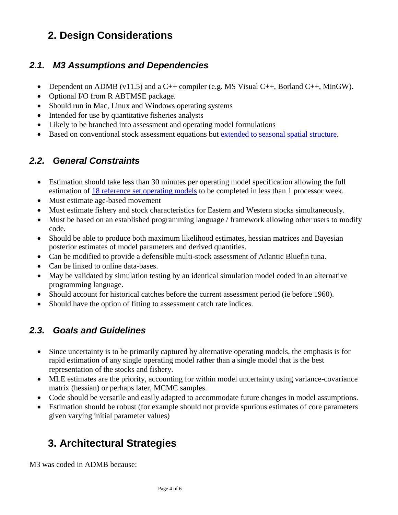## <span id="page-3-0"></span>**2. Design Considerations**

#### <span id="page-3-1"></span>*2.1. M3 Assumptions and Dependencies*

- Dependent on ADMB (v11.5) and a C++ compiler (e.g. MS Visual C++, Borland C++, MinGW).
- Optional I/O from R ABTMSE package.
- Should run in Mac, Linux and Windows operating systems
- Intended for use by quantitative fisheries analysts
- Likely to be branched into assessment and operating model formulations
- Based on conventional stock assessment equations but [extended to seasonal spatial structure.](https://drive.google.com/open?id=0B0HYOP0BN5RPdHpZRk1iRkZ6OWs)

#### <span id="page-3-2"></span>*2.2. General Constraints*

- Estimation should take less than 30 minutes per operating model specification allowing the full estimation of <u>18 [reference set operating models](https://drive.google.com/open?id=0B0HYOP0BN5RPWnduMFIybkpadjg)</u> to be completed in less than 1 processor week.
- Must estimate age-based movement
- Must estimate fishery and stock characteristics for Eastern and Western stocks simultaneously.
- Must be based on an established programming language / framework allowing other users to modify code.
- Should be able to produce both maximum likelihood estimates, hessian matrices and Bayesian posterior estimates of model parameters and derived quantities.
- Can be modified to provide a defensible multi-stock assessment of Atlantic Bluefin tuna.
- Can be linked to online data-bases.
- May be validated by simulation testing by an identical simulation model coded in an alternative programming language.
- Should account for historical catches before the current assessment period (ie before 1960).
- Should have the option of fitting to assessment catch rate indices.

#### <span id="page-3-3"></span>*2.3. Goals and Guidelines*

- Since uncertainty is to be primarily captured by alternative operating models, the emphasis is for rapid estimation of any single operating model rather than a single model that is the best representation of the stocks and fishery.
- MLE estimates are the priority, accounting for within model uncertainty using variance-covariance matrix (hessian) or perhaps later, MCMC samples.
- Code should be versatile and easily adapted to accommodate future changes in model assumptions.
- Estimation should be robust (for example should not provide spurious estimates of core parameters given varying initial parameter values)

## <span id="page-3-4"></span>**3. Architectural Strategies**

M3 was coded in ADMB because: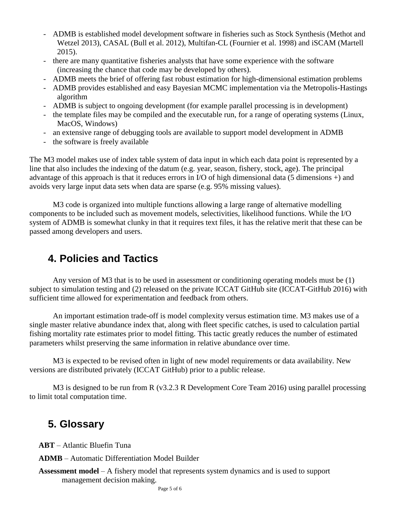- ADMB is established model development software in fisheries such as Stock Synthesis (Methot and Wetzel 2013), CASAL (Bull et al. 2012), Multifan-CL (Fournier et al. 1998) and iSCAM (Martell 2015).
- there are many quantitative fisheries analysts that have some experience with the software (increasing the chance that code may be developed by others).
- ADMB meets the brief of offering fast robust estimation for high-dimensional estimation problems
- ADMB provides established and easy Bayesian MCMC implementation via the Metropolis-Hastings algorithm
- ADMB is subject to ongoing development (for example parallel processing is in development)
- the template files may be compiled and the executable run, for a range of operating systems (Linux, MacOS, Windows)
- an extensive range of debugging tools are available to support model development in ADMB
- the software is freely available

The M3 model makes use of index table system of data input in which each data point is represented by a line that also includes the indexing of the datum (e.g. year, season, fishery, stock, age). The principal advantage of this approach is that it reduces errors in I/O of high dimensional data (5 dimensions +) and avoids very large input data sets when data are sparse (e.g. 95% missing values).

M3 code is organized into multiple functions allowing a large range of alternative modelling components to be included such as movement models, selectivities, likelihood functions. While the I/O system of ADMB is somewhat clunky in that it requires text files, it has the relative merit that these can be passed among developers and users.

## <span id="page-4-0"></span>**4. Policies and Tactics**

Any version of M3 that is to be used in assessment or conditioning operating models must be (1) subject to simulation testing and (2) released on the private ICCAT GitHub site (ICCAT-GitHub 2016) with sufficient time allowed for experimentation and feedback from others.

An important estimation trade-off is model complexity versus estimation time. M3 makes use of a single master relative abundance index that, along with fleet specific catches, is used to calculation partial fishing mortality rate estimates prior to model fitting. This tactic greatly reduces the number of estimated parameters whilst preserving the same information in relative abundance over time.

M3 is expected to be revised often in light of new model requirements or data availability. New versions are distributed privately (ICCAT GitHub) prior to a public release.

M3 is designed to be run from R (v3.2.3 R Development Core Team 2016) using parallel processing to limit total computation time.

### <span id="page-4-1"></span>**5. Glossary**

**ABT** – Atlantic Bluefin Tuna

**ADMB** – Automatic Differentiation Model Builder

**Assessment model** – A fishery model that represents system dynamics and is used to support management decision making.